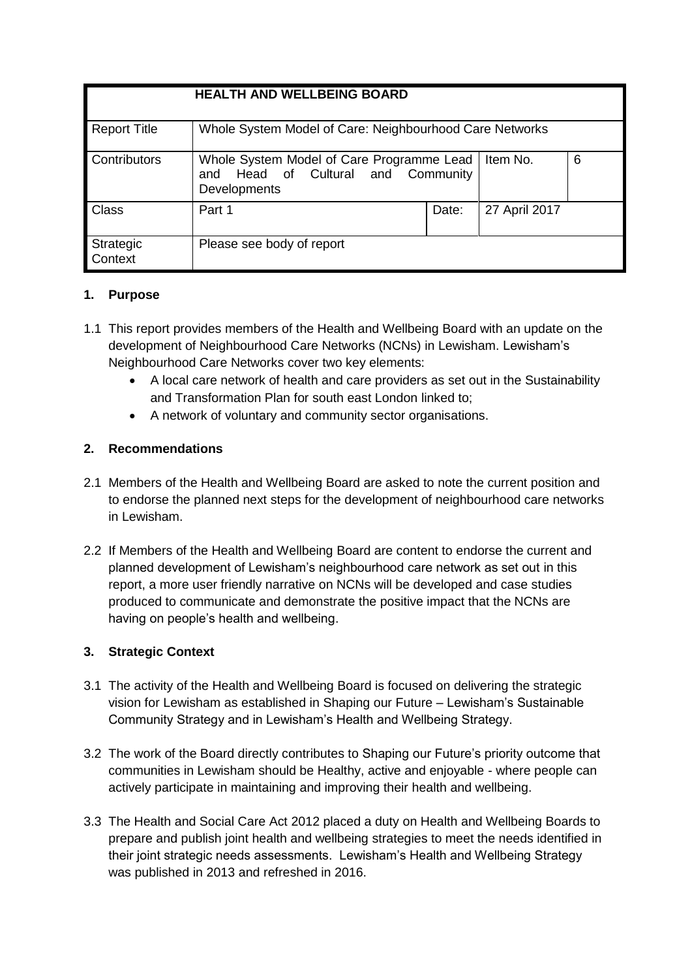| <b>HEALTH AND WELLBEING BOARD</b> |                                                                                                    |       |               |   |
|-----------------------------------|----------------------------------------------------------------------------------------------------|-------|---------------|---|
| <b>Report Title</b>               | Whole System Model of Care: Neighbourhood Care Networks                                            |       |               |   |
| <b>Contributors</b>               | Whole System Model of Care Programme Lead<br>Head of Cultural and Community<br>and<br>Developments |       | Item No.      | 6 |
| <b>Class</b>                      | Part 1                                                                                             | Date: | 27 April 2017 |   |
| Strategic<br>Context              | Please see body of report                                                                          |       |               |   |

## **1. Purpose**

- 1.1 This report provides members of the Health and Wellbeing Board with an update on the development of Neighbourhood Care Networks (NCNs) in Lewisham. Lewisham's Neighbourhood Care Networks cover two key elements:
	- A local care network of health and care providers as set out in the Sustainability and Transformation Plan for south east London linked to;
	- A network of voluntary and community sector organisations.

# **2. Recommendations**

- 2.1 Members of the Health and Wellbeing Board are asked to note the current position and to endorse the planned next steps for the development of neighbourhood care networks in Lewisham.
- 2.2 If Members of the Health and Wellbeing Board are content to endorse the current and planned development of Lewisham's neighbourhood care network as set out in this report, a more user friendly narrative on NCNs will be developed and case studies produced to communicate and demonstrate the positive impact that the NCNs are having on people's health and wellbeing.

## **3. Strategic Context**

- 3.1 The activity of the Health and Wellbeing Board is focused on delivering the strategic vision for Lewisham as established in Shaping our Future – Lewisham's Sustainable Community Strategy and in Lewisham's Health and Wellbeing Strategy.
- 3.2 The work of the Board directly contributes to Shaping our Future's priority outcome that communities in Lewisham should be Healthy, active and enjoyable - where people can actively participate in maintaining and improving their health and wellbeing.
- 3.3 The Health and Social Care Act 2012 placed a duty on Health and Wellbeing Boards to prepare and publish joint health and wellbeing strategies to meet the needs identified in their joint strategic needs assessments. Lewisham's Health and Wellbeing Strategy was published in 2013 and refreshed in 2016.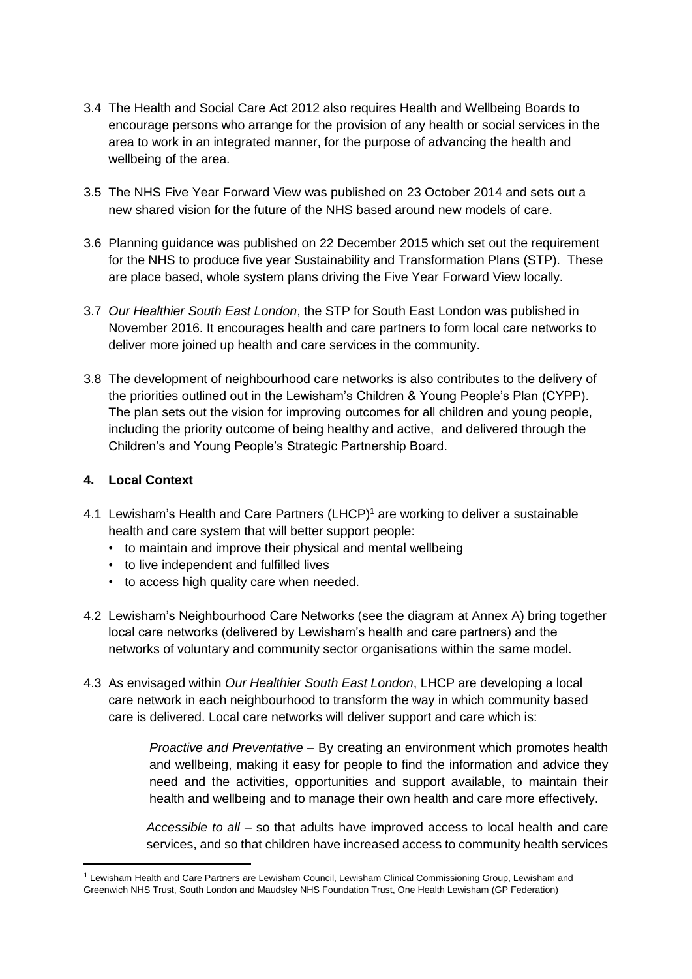- 3.4 The Health and Social Care Act 2012 also requires Health and Wellbeing Boards to encourage persons who arrange for the provision of any health or social services in the area to work in an integrated manner, for the purpose of advancing the health and wellbeing of the area.
- 3.5 The NHS Five Year Forward View was published on 23 October 2014 and sets out a new shared vision for the future of the NHS based around new models of care.
- 3.6 Planning guidance was published on 22 December 2015 which set out the requirement for the NHS to produce five year Sustainability and Transformation Plans (STP). These are place based, whole system plans driving the Five Year Forward View locally.
- 3.7 *Our Healthier South East London*, the STP for South East London was published in November 2016. It encourages health and care partners to form local care networks to deliver more joined up health and care services in the community.
- 3.8 The development of neighbourhood care networks is also contributes to the delivery of the priorities outlined out in the Lewisham's Children & Young People's Plan (CYPP). The plan sets out the vision for improving outcomes for all children and young people, including the priority outcome of being healthy and active, and delivered through the Children's and Young People's Strategic Partnership Board.

#### **4. Local Context**

1

- 4.1 Lewisham's Health and Care Partners (LHCP)<sup>1</sup> are working to deliver a sustainable health and care system that will better support people:
	- to maintain and improve their physical and mental wellbeing
	- to live independent and fulfilled lives
	- to access high quality care when needed.
- 4.2 Lewisham's Neighbourhood Care Networks (see the diagram at Annex A) bring together local care networks (delivered by Lewisham's health and care partners) and the networks of voluntary and community sector organisations within the same model.
- 4.3 As envisaged within *Our Healthier South East London*, LHCP are developing a local care network in each neighbourhood to transform the way in which community based care is delivered. Local care networks will deliver support and care which is:

*Proactive and Preventative* – By creating an environment which promotes health and wellbeing, making it easy for people to find the information and advice they need and the activities, opportunities and support available, to maintain their health and wellbeing and to manage their own health and care more effectively.

*Accessible to all* – so that adults have improved access to local health and care services, and so that children have increased access to community health services

<sup>&</sup>lt;sup>1</sup> Lewisham Health and Care Partners are Lewisham Council, Lewisham Clinical Commissioning Group, Lewisham and Greenwich NHS Trust, South London and Maudsley NHS Foundation Trust, One Health Lewisham (GP Federation)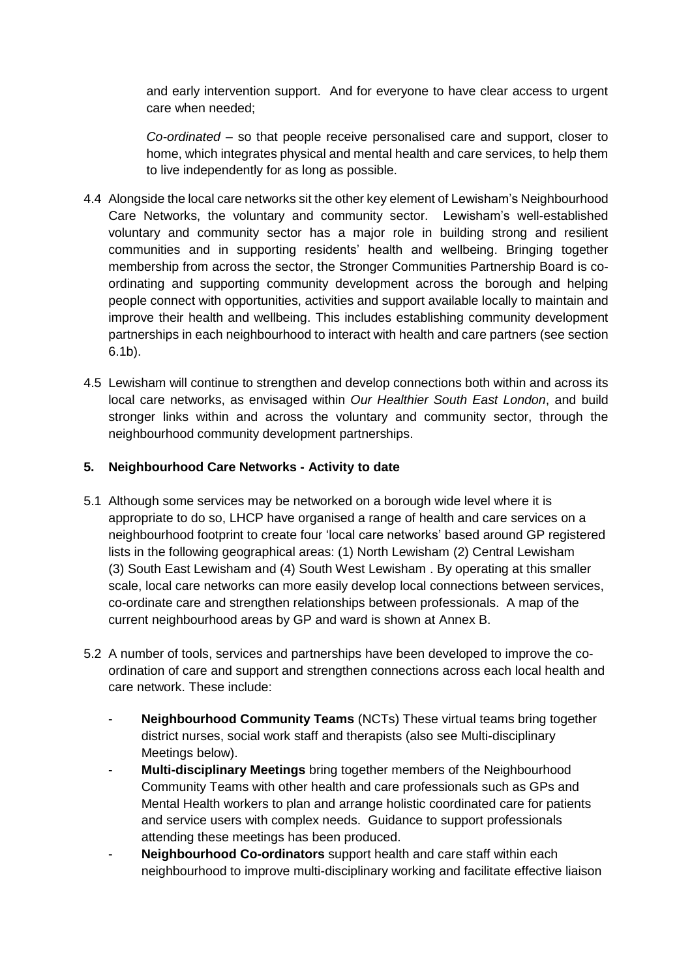and early intervention support. And for everyone to have clear access to urgent care when needed;

*Co-ordinated* – so that people receive personalised care and support, closer to home, which integrates physical and mental health and care services, to help them to live independently for as long as possible.

- 4.4 Alongside the local care networks sit the other key element of Lewisham's Neighbourhood Care Networks, the voluntary and community sector. Lewisham's well-established voluntary and community sector has a major role in building strong and resilient communities and in supporting residents' health and wellbeing. Bringing together membership from across the sector, the Stronger Communities Partnership Board is coordinating and supporting community development across the borough and helping people connect with opportunities, activities and support available locally to maintain and improve their health and wellbeing. This includes establishing community development partnerships in each neighbourhood to interact with health and care partners (see section 6.1b).
- 4.5 Lewisham will continue to strengthen and develop connections both within and across its local care networks, as envisaged within *Our Healthier South East London*, and build stronger links within and across the voluntary and community sector, through the neighbourhood community development partnerships.

### **5. Neighbourhood Care Networks - Activity to date**

- 5.1 Although some services may be networked on a borough wide level where it is appropriate to do so, LHCP have organised a range of health and care services on a neighbourhood footprint to create four 'local care networks' based around GP registered lists in the following geographical areas: (1) North Lewisham (2) Central Lewisham (3) South East Lewisham and (4) South West Lewisham . By operating at this smaller scale, local care networks can more easily develop local connections between services, co-ordinate care and strengthen relationships between professionals. A map of the current neighbourhood areas by GP and ward is shown at Annex B.
- 5.2 A number of tools, services and partnerships have been developed to improve the coordination of care and support and strengthen connections across each local health and care network. These include:
	- **Neighbourhood Community Teams** (NCTs) These virtual teams bring together district nurses, social work staff and therapists (also see Multi-disciplinary Meetings below).
	- **Multi-disciplinary Meetings** bring together members of the Neighbourhood Community Teams with other health and care professionals such as GPs and Mental Health workers to plan and arrange holistic coordinated care for patients and service users with complex needs. Guidance to support professionals attending these meetings has been produced.
	- **Neighbourhood Co-ordinators** support health and care staff within each neighbourhood to improve multi-disciplinary working and facilitate effective liaison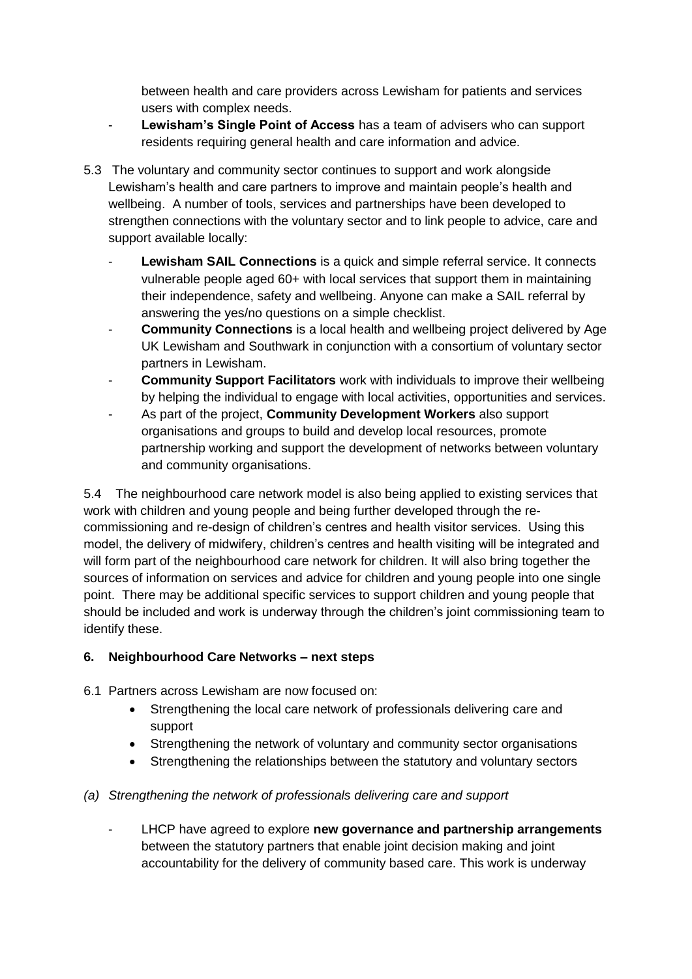between health and care providers across Lewisham for patients and services users with complex needs.

- Lewisham's Single Point of Access has a team of advisers who can support residents requiring general health and care information and advice.
- 5.3 The voluntary and community sector continues to support and work alongside Lewisham's health and care partners to improve and maintain people's health and wellbeing. A number of tools, services and partnerships have been developed to strengthen connections with the voluntary sector and to link people to advice, care and support available locally:
	- **Lewisham SAIL Connections** is a quick and simple referral service. It connects vulnerable people aged 60+ with local services that support them in maintaining their independence, safety and wellbeing. Anyone can make a SAIL referral by answering the yes/no questions on a simple checklist.
	- **Community Connections** is a local health and wellbeing project delivered by Age UK Lewisham and Southwark in conjunction with a consortium of voluntary sector partners in Lewisham.
	- **Community Support Facilitators** work with individuals to improve their wellbeing by helping the individual to engage with local activities, opportunities and services.
	- As part of the project, **Community Development Workers** also support organisations and groups to build and develop local resources, promote partnership working and support the development of networks between voluntary and community organisations.

5.4 The neighbourhood care network model is also being applied to existing services that work with children and young people and being further developed through the recommissioning and re-design of children's centres and health visitor services. Using this model, the delivery of midwifery, children's centres and health visiting will be integrated and will form part of the neighbourhood care network for children. It will also bring together the sources of information on services and advice for children and young people into one single point. There may be additional specific services to support children and young people that should be included and work is underway through the children's joint commissioning team to identify these.

## **6. Neighbourhood Care Networks – next steps**

- 6.1 Partners across Lewisham are now focused on:
	- Strengthening the local care network of professionals delivering care and support
	- Strengthening the network of voluntary and community sector organisations
	- Strengthening the relationships between the statutory and voluntary sectors
- *(a) Strengthening the network of professionals delivering care and support* 
	- LHCP have agreed to explore **new governance and partnership arrangements** between the statutory partners that enable joint decision making and joint accountability for the delivery of community based care. This work is underway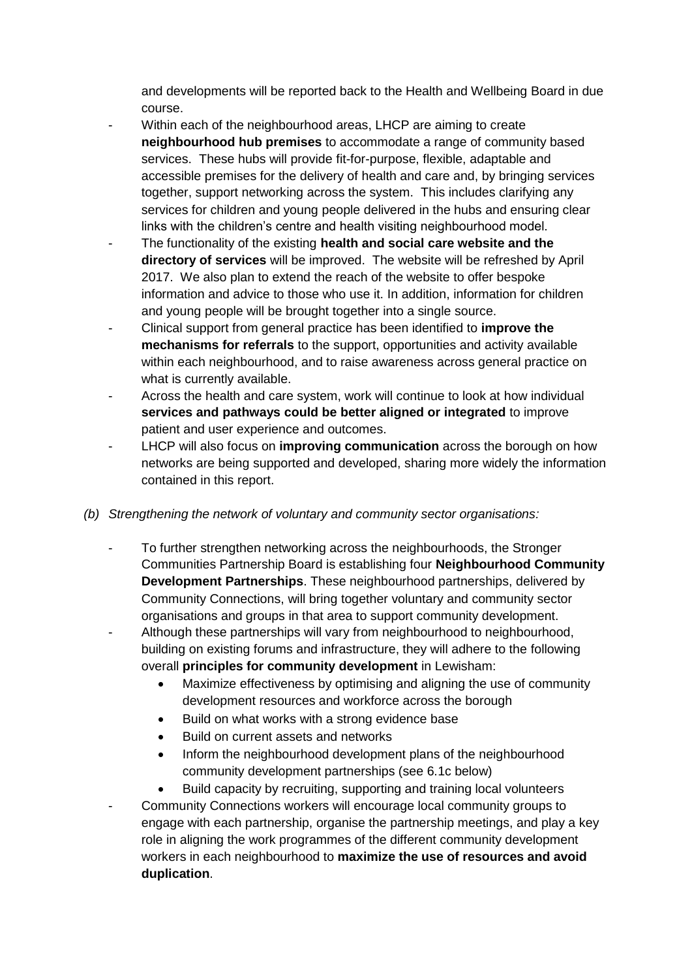and developments will be reported back to the Health and Wellbeing Board in due course.

- Within each of the neighbourhood areas, LHCP are aiming to create **neighbourhood hub premises** to accommodate a range of community based services. These hubs will provide fit-for-purpose, flexible, adaptable and accessible premises for the delivery of health and care and, by bringing services together, support networking across the system. This includes clarifying any services for children and young people delivered in the hubs and ensuring clear links with the children's centre and health visiting neighbourhood model.
- The functionality of the existing **health and social care website and the directory of services** will be improved. The website will be refreshed by April 2017. We also plan to extend the reach of the website to offer bespoke information and advice to those who use it. In addition, information for children and young people will be brought together into a single source.
- Clinical support from general practice has been identified to **improve the mechanisms for referrals** to the support, opportunities and activity available within each neighbourhood, and to raise awareness across general practice on what is currently available.
- Across the health and care system, work will continue to look at how individual **services and pathways could be better aligned or integrated** to improve patient and user experience and outcomes.
- LHCP will also focus on **improving communication** across the borough on how networks are being supported and developed, sharing more widely the information contained in this report.
- *(b) Strengthening the network of voluntary and community sector organisations:*
	- To further strengthen networking across the neighbourhoods, the Stronger Communities Partnership Board is establishing four **Neighbourhood Community Development Partnerships**. These neighbourhood partnerships, delivered by Community Connections, will bring together voluntary and community sector organisations and groups in that area to support community development.
	- Although these partnerships will vary from neighbourhood to neighbourhood, building on existing forums and infrastructure, they will adhere to the following overall **principles for community development** in Lewisham:
		- Maximize effectiveness by optimising and aligning the use of community development resources and workforce across the borough
		- Build on what works with a strong evidence base
		- Build on current assets and networks
		- Inform the neighbourhood development plans of the neighbourhood community development partnerships (see 6.1c below)
	- Build capacity by recruiting, supporting and training local volunteers - Community Connections workers will encourage local community groups to engage with each partnership, organise the partnership meetings, and play a key role in aligning the work programmes of the different community development workers in each neighbourhood to **maximize the use of resources and avoid duplication**.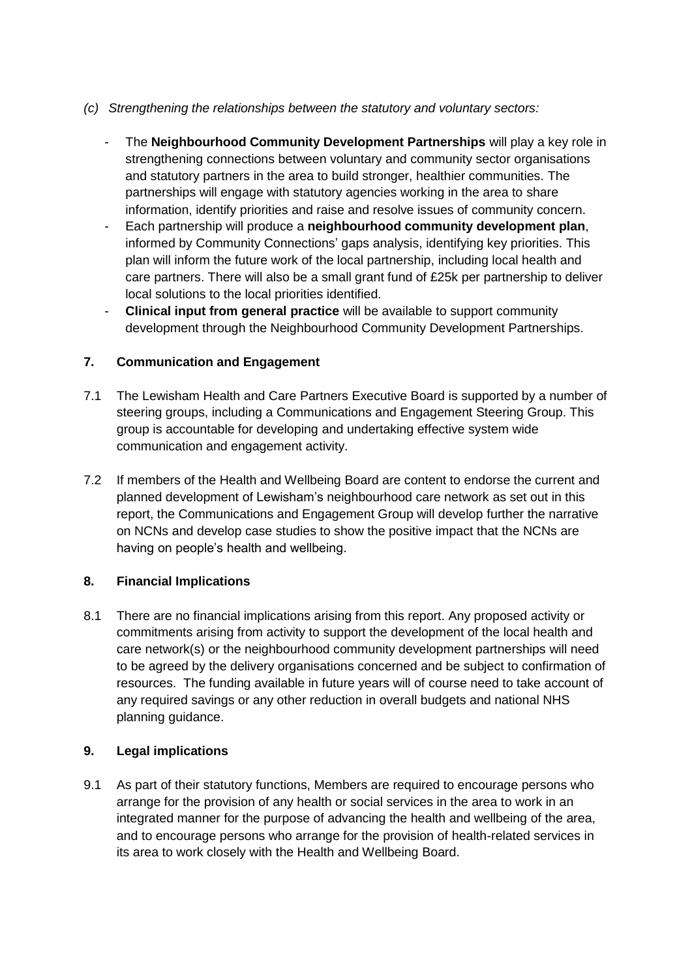- *(c) Strengthening the relationships between the statutory and voluntary sectors:*
	- The **Neighbourhood Community Development Partnerships** will play a key role in strengthening connections between voluntary and community sector organisations and statutory partners in the area to build stronger, healthier communities. The partnerships will engage with statutory agencies working in the area to share information, identify priorities and raise and resolve issues of community concern.
	- Each partnership will produce a **neighbourhood community development plan**, informed by Community Connections' gaps analysis, identifying key priorities. This plan will inform the future work of the local partnership, including local health and care partners. There will also be a small grant fund of £25k per partnership to deliver local solutions to the local priorities identified.
	- **Clinical input from general practice** will be available to support community development through the Neighbourhood Community Development Partnerships.

### **7. Communication and Engagement**

- 7.1 The Lewisham Health and Care Partners Executive Board is supported by a number of steering groups, including a Communications and Engagement Steering Group. This group is accountable for developing and undertaking effective system wide communication and engagement activity.
- 7.2 If members of the Health and Wellbeing Board are content to endorse the current and planned development of Lewisham's neighbourhood care network as set out in this report, the Communications and Engagement Group will develop further the narrative on NCNs and develop case studies to show the positive impact that the NCNs are having on people's health and wellbeing.

#### **8. Financial Implications**

8.1 There are no financial implications arising from this report. Any proposed activity or commitments arising from activity to support the development of the local health and care network(s) or the neighbourhood community development partnerships will need to be agreed by the delivery organisations concerned and be subject to confirmation of resources. The funding available in future years will of course need to take account of any required savings or any other reduction in overall budgets and national NHS planning guidance.

#### **9. Legal implications**

9.1 As part of their statutory functions, Members are required to encourage persons who arrange for the provision of any health or social services in the area to work in an integrated manner for the purpose of advancing the health and wellbeing of the area, and to encourage persons who arrange for the provision of health-related services in its area to work closely with the Health and Wellbeing Board.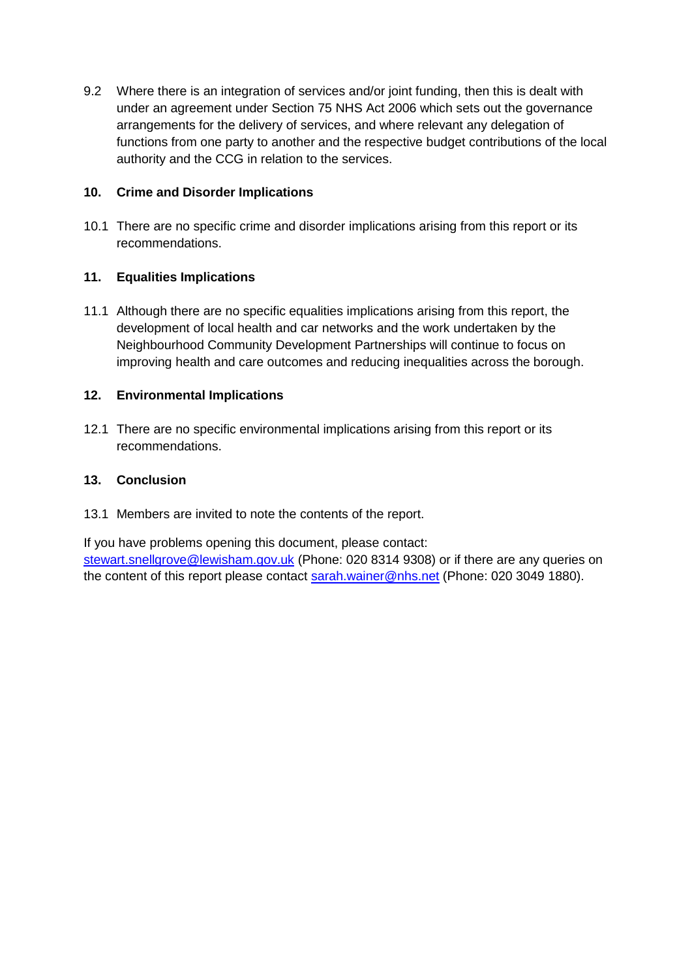9.2 Where there is an integration of services and/or joint funding, then this is dealt with under an agreement under Section 75 NHS Act 2006 which sets out the governance arrangements for the delivery of services, and where relevant any delegation of functions from one party to another and the respective budget contributions of the local authority and the CCG in relation to the services.

### **10. Crime and Disorder Implications**

10.1 There are no specific crime and disorder implications arising from this report or its recommendations.

## **11. Equalities Implications**

11.1 Although there are no specific equalities implications arising from this report, the development of local health and car networks and the work undertaken by the Neighbourhood Community Development Partnerships will continue to focus on improving health and care outcomes and reducing inequalities across the borough.

### **12. Environmental Implications**

12.1 There are no specific environmental implications arising from this report or its recommendations.

#### **13. Conclusion**

13.1 Members are invited to note the contents of the report.

If you have problems opening this document, please contact: [stewart.snellgrove@lewisham.gov.uk](mailto:stewart.snellgrove@lewisham.gov.uk) (Phone: 020 8314 9308) or if there are any queries on the content of this report please contact [sarah.wainer@nhs.net](mailto:sarah.wainer@nhs.net) (Phone: 020 3049 1880).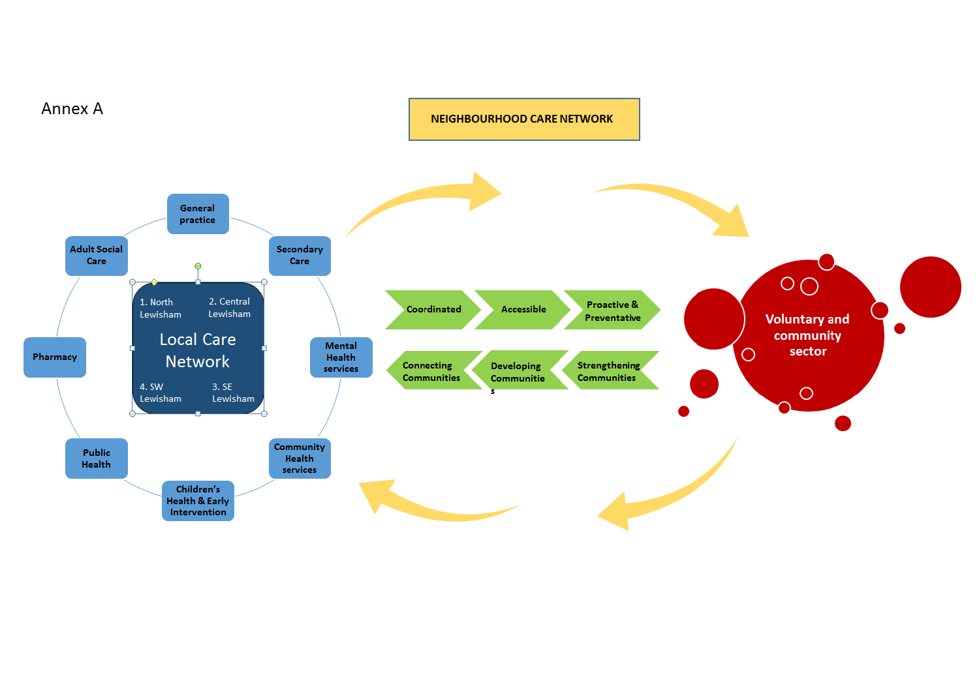